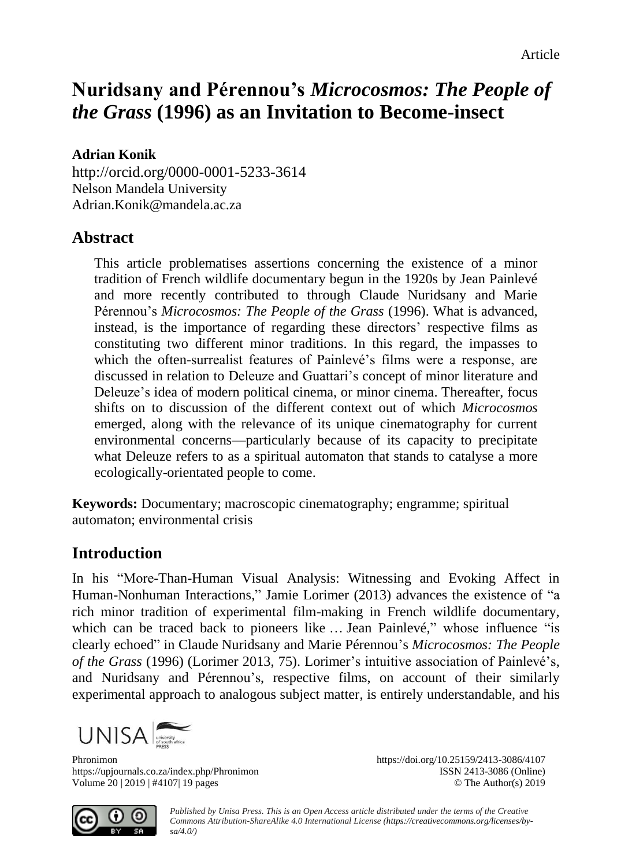# **Nuridsany and Pérennou's** *Microcosmos: The People of the Grass* **(1996) as an Invitation to Become-insect**

#### **Adrian Konik**

<http://orcid.org/0000-0001-5233-3614> Nelson Mandela University [Adrian.Konik@mandela.ac.za](mailto:Adrian.Konik@mandela.ac.za)

### **Abstract**

This article problematises assertions concerning the existence of a minor tradition of French wildlife documentary begun in the 1920s by Jean Painlevé and more recently contributed to through Claude Nuridsany and Marie Pérennou's *Microcosmos: The People of the Grass* (1996). What is advanced, instead, is the importance of regarding these directors' respective films as constituting two different minor traditions. In this regard, the impasses to which the often-surrealist features of Painlevé's films were a response, are discussed in relation to Deleuze and Guattari's concept of minor literature and Deleuze's idea of modern political cinema, or minor cinema. Thereafter, focus shifts on to discussion of the different context out of which *Microcosmos* emerged, along with the relevance of its unique cinematography for current environmental concerns—particularly because of its capacity to precipitate what Deleuze refers to as a spiritual automaton that stands to catalyse a more ecologically-orientated people to come.

**Keywords:** Documentary; macroscopic cinematography; engramme; spiritual automaton; environmental crisis

### **Introduction**

In his "More-Than-Human Visual Analysis: Witnessing and Evoking Affect in Human-Nonhuman Interactions," Jamie Lorimer (2013) advances the existence of "a rich minor tradition of experimental film-making in French wildlife documentary, which can be traced back to pioneers like … Jean Painlevé," whose influence "is clearly echoed" in Claude Nuridsany and Marie Pérennou's *Microcosmos: The People of the Grass* (1996) (Lorimer 2013, 75). Lorimer's intuitive association of Painlevé's, and Nuridsany and Pérennou's, respective films, on account of their similarly experimental approach to analogous subject matter, is entirely understandable, and his



Phronimon https://doi.org/10.25159/2413-3086/4107 https://upjournals.co.za/index.php/Phronimon ISSN 2413-3086 (Online) Volume 20 | 2019 | #4107| 19 pages © The Author(s) 2019



*Published by Unisa Press. This is an Open Access article distributed under the terms of the Creative Commons Attribution-ShareAlike 4.0 International License [\(https://creativecommons.org/licenses/by](https://creativecommons.org/licenses/by-sa/4.0/)[sa/4.0/\)](https://creativecommons.org/licenses/by-sa/4.0/)*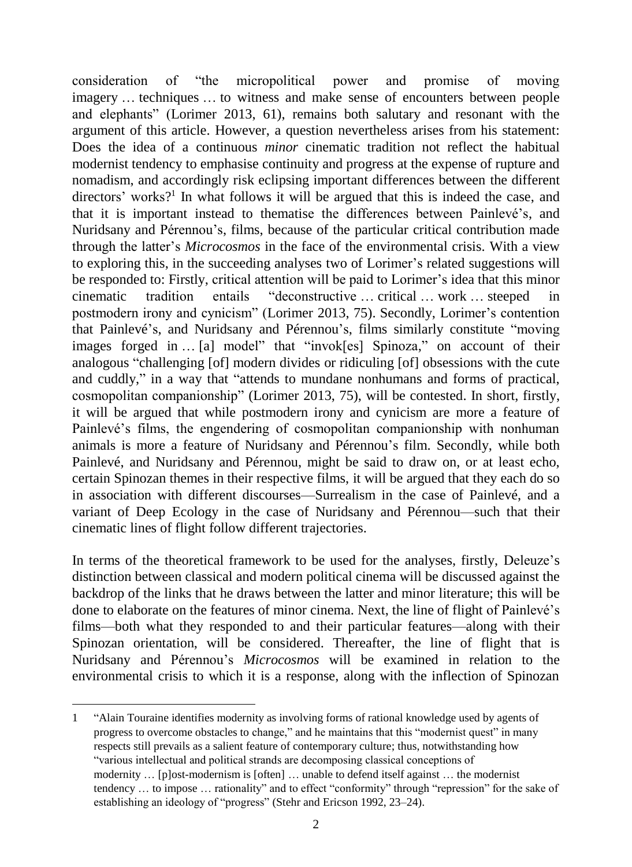consideration of "the micropolitical power and promise of moving imagery … techniques … to witness and make sense of encounters between people and elephants" (Lorimer 2013, 61), remains both salutary and resonant with the argument of this article. However, a question nevertheless arises from his statement: Does the idea of a continuous *minor* cinematic tradition not reflect the habitual modernist tendency to emphasise continuity and progress at the expense of rupture and nomadism, and accordingly risk eclipsing important differences between the different directors' works?<sup>1</sup> In what follows it will be argued that this is indeed the case, and that it is important instead to thematise the differences between Painlevé's, and Nuridsany and Pérennou's, films, because of the particular critical contribution made through the latter's *Microcosmos* in the face of the environmental crisis. With a view to exploring this, in the succeeding analyses two of Lorimer's related suggestions will be responded to: Firstly, critical attention will be paid to Lorimer's idea that this minor cinematic tradition entails "deconstructive … critical … work … steeped in postmodern irony and cynicism" (Lorimer 2013, 75). Secondly, Lorimer's contention that Painlevé's, and Nuridsany and Pérennou's, films similarly constitute "moving images forged in … [a] model" that "invok[es] Spinoza," on account of their analogous "challenging [of] modern divides or ridiculing [of] obsessions with the cute and cuddly," in a way that "attends to mundane nonhumans and forms of practical, cosmopolitan companionship" (Lorimer 2013, 75), will be contested. In short, firstly, it will be argued that while postmodern irony and cynicism are more a feature of Painlevé's films, the engendering of cosmopolitan companionship with nonhuman animals is more a feature of Nuridsany and Pérennou's film. Secondly, while both Painlevé, and Nuridsany and Pérennou, might be said to draw on, or at least echo, certain Spinozan themes in their respective films, it will be argued that they each do so in association with different discourses—Surrealism in the case of Painlevé, and a variant of Deep Ecology in the case of Nuridsany and Pérennou—such that their cinematic lines of flight follow different trajectories.

In terms of the theoretical framework to be used for the analyses, firstly, Deleuze's distinction between classical and modern political cinema will be discussed against the backdrop of the links that he draws between the latter and minor literature; this will be done to elaborate on the features of minor cinema. Next, the line of flight of Painlevé's films—both what they responded to and their particular features—along with their Spinozan orientation, will be considered. Thereafter, the line of flight that is Nuridsany and Pérennou's *Microcosmos* will be examined in relation to the environmental crisis to which it is a response, along with the inflection of Spinozan

1 "Alain Touraine identifies modernity as involving forms of rational knowledge used by agents of progress to overcome obstacles to change," and he maintains that this "modernist quest" in many respects still prevails as a salient feature of contemporary culture; thus, notwithstanding how "various intellectual and political strands are decomposing classical conceptions of modernity ... [plost-modernism is [often] ... unable to defend itself against ... the modernist tendency … to impose … rationality" and to effect "conformity" through "repression" for the sake of establishing an ideology of "progress" (Stehr and Ericson 1992, 23–24).

-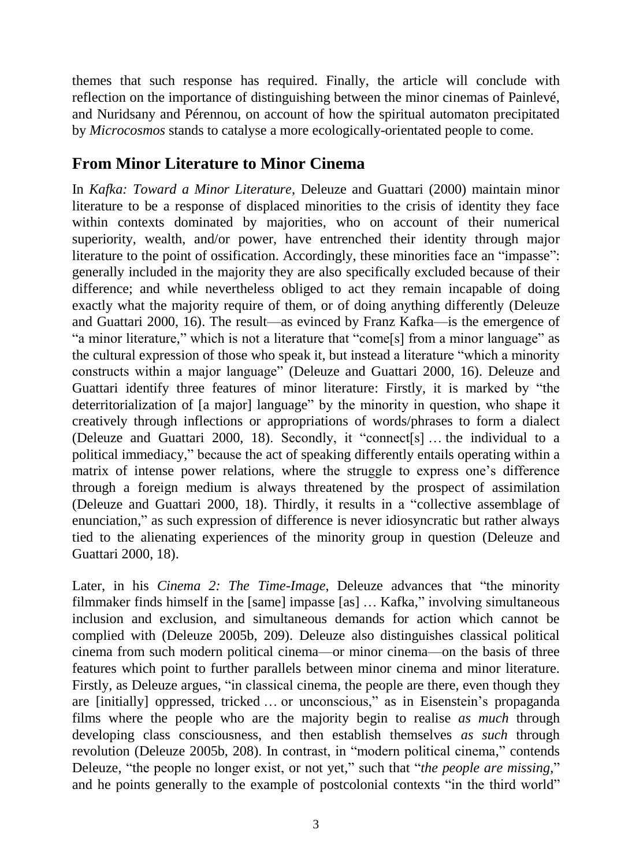themes that such response has required. Finally, the article will conclude with reflection on the importance of distinguishing between the minor cinemas of Painlevé, and Nuridsany and Pérennou, on account of how the spiritual automaton precipitated by *Microcosmos* stands to catalyse a more ecologically-orientated people to come.

# **From Minor Literature to Minor Cinema**

In *Kafka: Toward a Minor Literature*, Deleuze and Guattari (2000) maintain minor literature to be a response of displaced minorities to the crisis of identity they face within contexts dominated by majorities, who on account of their numerical superiority, wealth, and/or power, have entrenched their identity through major literature to the point of ossification. Accordingly, these minorities face an "impasse": generally included in the majority they are also specifically excluded because of their difference; and while nevertheless obliged to act they remain incapable of doing exactly what the majority require of them, or of doing anything differently (Deleuze and Guattari 2000, 16). The result—as evinced by Franz Kafka—is the emergence of "a minor literature," which is not a literature that "come[s] from a minor language" as the cultural expression of those who speak it, but instead a literature "which a minority constructs within a major language" (Deleuze and Guattari 2000, 16). Deleuze and Guattari identify three features of minor literature: Firstly, it is marked by "the deterritorialization of [a major] language" by the minority in question, who shape it creatively through inflections or appropriations of words/phrases to form a dialect (Deleuze and Guattari 2000, 18). Secondly, it "connect[s] … the individual to a political immediacy," because the act of speaking differently entails operating within a matrix of intense power relations, where the struggle to express one's difference through a foreign medium is always threatened by the prospect of assimilation (Deleuze and Guattari 2000, 18). Thirdly, it results in a "collective assemblage of enunciation," as such expression of difference is never idiosyncratic but rather always tied to the alienating experiences of the minority group in question (Deleuze and Guattari 2000, 18).

Later, in his *Cinema 2: The Time-Image*, Deleuze advances that "the minority filmmaker finds himself in the [same] impasse [as] … Kafka," involving simultaneous inclusion and exclusion, and simultaneous demands for action which cannot be complied with (Deleuze 2005b, 209). Deleuze also distinguishes classical political cinema from such modern political cinema—or minor cinema—on the basis of three features which point to further parallels between minor cinema and minor literature. Firstly, as Deleuze argues, "in classical cinema, the people are there, even though they are [initially] oppressed, tricked … or unconscious," as in Eisenstein's propaganda films where the people who are the majority begin to realise *as much* through developing class consciousness, and then establish themselves *as such* through revolution (Deleuze 2005b, 208). In contrast, in "modern political cinema," contends Deleuze, "the people no longer exist, or not yet," such that "*the people are missing*," and he points generally to the example of postcolonial contexts "in the third world"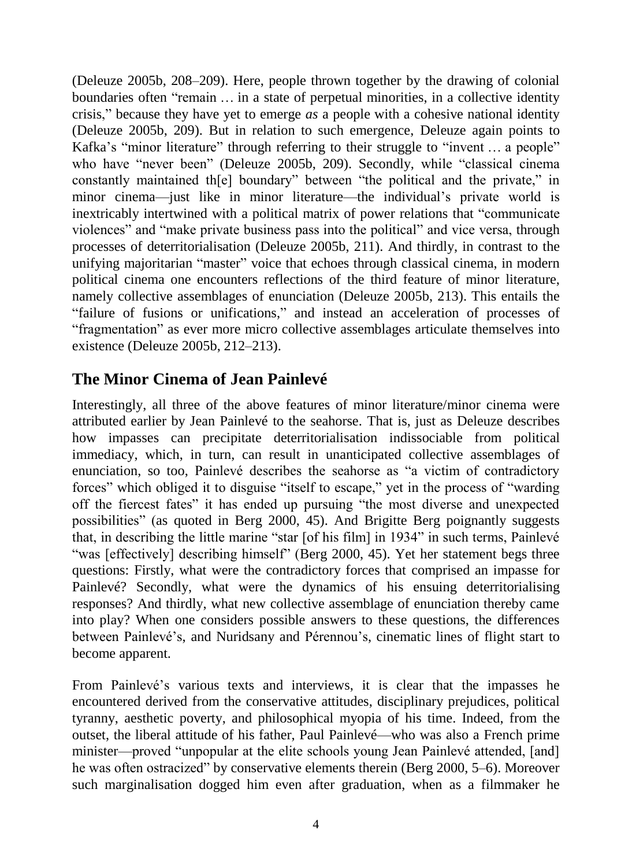(Deleuze 2005b, 208–209). Here, people thrown together by the drawing of colonial boundaries often "remain … in a state of perpetual minorities, in a collective identity crisis," because they have yet to emerge *as* a people with a cohesive national identity (Deleuze 2005b, 209). But in relation to such emergence, Deleuze again points to Kafka's "minor literature" through referring to their struggle to "invent … a people" who have "never been" (Deleuze 2005b, 209). Secondly, while "classical cinema constantly maintained th[e] boundary" between "the political and the private," in minor cinema—just like in minor literature—the individual's private world is inextricably intertwined with a political matrix of power relations that "communicate violences" and "make private business pass into the political" and vice versa, through processes of deterritorialisation (Deleuze 2005b, 211). And thirdly, in contrast to the unifying majoritarian "master" voice that echoes through classical cinema, in modern political cinema one encounters reflections of the third feature of minor literature, namely collective assemblages of enunciation (Deleuze 2005b, 213). This entails the "failure of fusions or unifications," and instead an acceleration of processes of "fragmentation" as ever more micro collective assemblages articulate themselves into existence (Deleuze 2005b, 212–213).

# **The Minor Cinema of Jean Painlevé**

Interestingly, all three of the above features of minor literature/minor cinema were attributed earlier by Jean Painlevé to the seahorse. That is, just as Deleuze describes how impasses can precipitate deterritorialisation indissociable from political immediacy, which, in turn, can result in unanticipated collective assemblages of enunciation, so too, Painlevé describes the seahorse as "a victim of contradictory forces" which obliged it to disguise "itself to escape," yet in the process of "warding off the fiercest fates" it has ended up pursuing "the most diverse and unexpected possibilities" (as quoted in Berg 2000, 45). And Brigitte Berg poignantly suggests that, in describing the little marine "star [of his film] in 1934" in such terms, Painlevé "was [effectively] describing himself" (Berg 2000, 45). Yet her statement begs three questions: Firstly, what were the contradictory forces that comprised an impasse for Painlevé? Secondly, what were the dynamics of his ensuing deterritorialising responses? And thirdly, what new collective assemblage of enunciation thereby came into play? When one considers possible answers to these questions, the differences between Painlevé's, and Nuridsany and Pérennou's, cinematic lines of flight start to become apparent.

From Painlevé's various texts and interviews, it is clear that the impasses he encountered derived from the conservative attitudes, disciplinary prejudices, political tyranny, aesthetic poverty, and philosophical myopia of his time. Indeed, from the outset, the liberal attitude of his father, Paul Painlevé—who was also a French prime minister—proved "unpopular at the elite schools young Jean Painlevé attended, [and] he was often ostracized" by conservative elements therein (Berg 2000, 5–6). Moreover such marginalisation dogged him even after graduation, when as a filmmaker he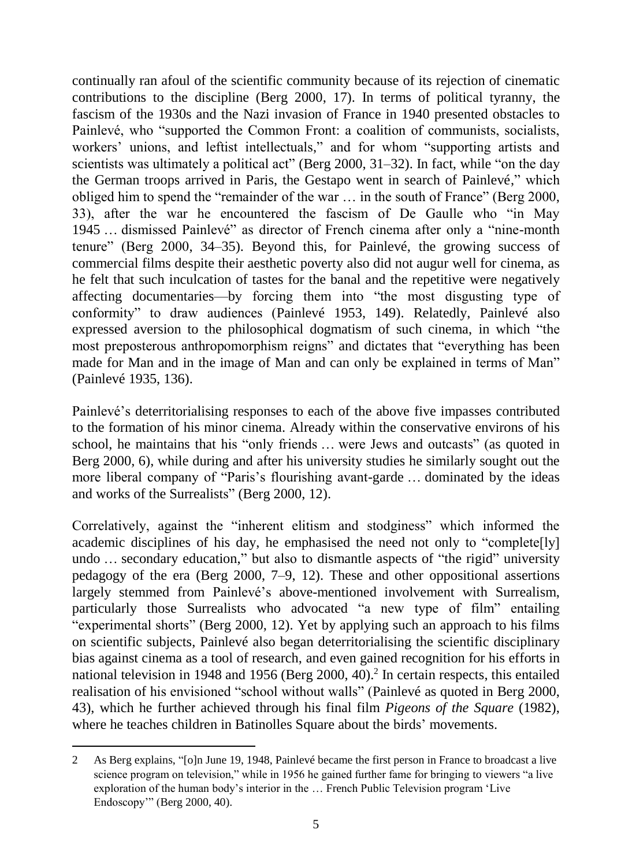continually ran afoul of the scientific community because of its rejection of cinematic contributions to the discipline (Berg 2000, 17). In terms of political tyranny, the fascism of the 1930s and the Nazi invasion of France in 1940 presented obstacles to Painlevé, who "supported the Common Front: a coalition of communists, socialists, workers' unions, and leftist intellectuals," and for whom "supporting artists and scientists was ultimately a political act" (Berg 2000,  $31-32$ ). In fact, while "on the day the German troops arrived in Paris, the Gestapo went in search of Painlevé," which obliged him to spend the "remainder of the war … in the south of France" (Berg 2000, 33), after the war he encountered the fascism of De Gaulle who "in May 1945 … dismissed Painlevé" as director of French cinema after only a "nine-month tenure" (Berg 2000, 34–35). Beyond this, for Painlevé, the growing success of commercial films despite their aesthetic poverty also did not augur well for cinema, as he felt that such inculcation of tastes for the banal and the repetitive were negatively affecting documentaries—by forcing them into "the most disgusting type of conformity" to draw audiences (Painlevé 1953, 149). Relatedly, Painlevé also expressed aversion to the philosophical dogmatism of such cinema, in which "the most preposterous anthropomorphism reigns" and dictates that "everything has been made for Man and in the image of Man and can only be explained in terms of Man" (Painlevé 1935, 136).

Painlevé's deterritorialising responses to each of the above five impasses contributed to the formation of his minor cinema. Already within the conservative environs of his school, he maintains that his "only friends … were Jews and outcasts" (as quoted in Berg 2000, 6), while during and after his university studies he similarly sought out the more liberal company of "Paris's flourishing avant-garde … dominated by the ideas and works of the Surrealists" (Berg 2000, 12).

Correlatively, against the "inherent elitism and stodginess" which informed the academic disciplines of his day, he emphasised the need not only to "complete[ly] undo … secondary education," but also to dismantle aspects of "the rigid" university pedagogy of the era (Berg 2000, 7–9, 12). These and other oppositional assertions largely stemmed from Painlevé's above-mentioned involvement with Surrealism, particularly those Surrealists who advocated "a new type of film" entailing "experimental shorts" (Berg 2000, 12). Yet by applying such an approach to his films on scientific subjects, Painlevé also began deterritorialising the scientific disciplinary bias against cinema as a tool of research, and even gained recognition for his efforts in national television in 1948 and 1956 (Berg 2000, 40). 2 In certain respects, this entailed realisation of his envisioned "school without walls" (Painlevé as quoted in Berg 2000, 43), which he further achieved through his final film *Pigeons of the Square* (1982), where he teaches children in Batinolles Square about the birds' movements.

-

<sup>2</sup> As Berg explains, "[o]n June 19, 1948, Painlevé became the first person in France to broadcast a live science program on television," while in 1956 he gained further fame for bringing to viewers "a live exploration of the human body's interior in the … French Public Television program 'Live Endoscopy'" (Berg 2000, 40).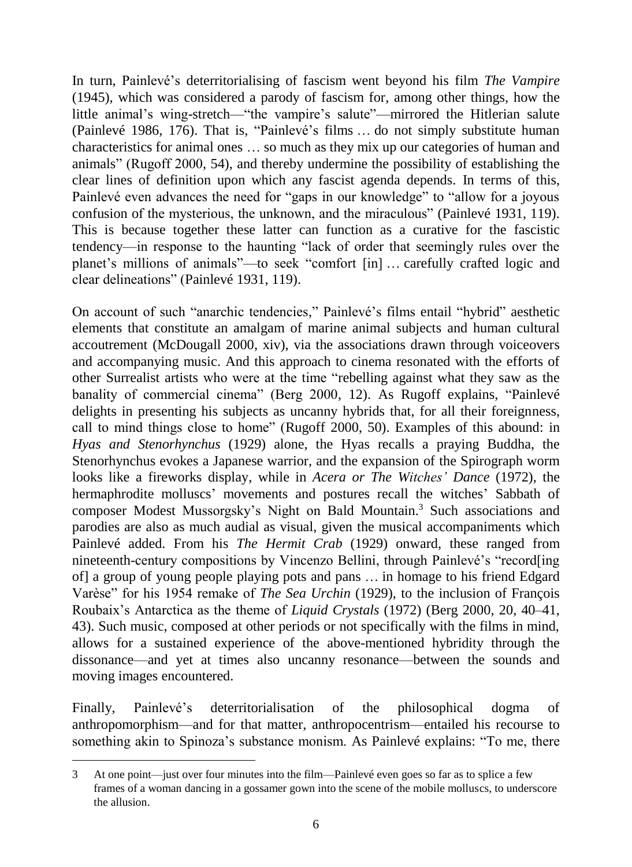In turn, Painlevé's deterritorialising of fascism went beyond his film *The Vampire* (1945), which was considered a parody of fascism for, among other things, how the little animal's wing-stretch—"the vampire's salute"—mirrored the Hitlerian salute (Painlevé 1986, 176). That is, "Painlevé's films … do not simply substitute human characteristics for animal ones … so much as they mix up our categories of human and animals" (Rugoff 2000, 54), and thereby undermine the possibility of establishing the clear lines of definition upon which any fascist agenda depends. In terms of this, Painlevé even advances the need for "gaps in our knowledge" to "allow for a joyous confusion of the mysterious, the unknown, and the miraculous" (Painlevé 1931, 119). This is because together these latter can function as a curative for the fascistic tendency—in response to the haunting "lack of order that seemingly rules over the planet's millions of animals"—to seek "comfort [in] … carefully crafted logic and clear delineations" (Painlevé 1931, 119).

On account of such "anarchic tendencies," Painlevé's films entail "hybrid" aesthetic elements that constitute an amalgam of marine animal subjects and human cultural accoutrement (McDougall 2000, xiv), via the associations drawn through voiceovers and accompanying music. And this approach to cinema resonated with the efforts of other Surrealist artists who were at the time "rebelling against what they saw as the banality of commercial cinema" (Berg 2000, 12). As Rugoff explains, "Painlevé delights in presenting his subjects as uncanny hybrids that, for all their foreignness, call to mind things close to home" (Rugoff 2000, 50). Examples of this abound: in *Hyas and Stenorhynchus* (1929) alone, the Hyas recalls a praying Buddha, the Stenorhynchus evokes a Japanese warrior, and the expansion of the Spirograph worm looks like a fireworks display, while in *Acera or The Witches' Dance* (1972), the hermaphrodite molluscs' movements and postures recall the witches' Sabbath of composer Modest Mussorgsky's Night on Bald Mountain.<sup>3</sup> Such associations and parodies are also as much audial as visual, given the musical accompaniments which Painlevé added. From his *The Hermit Crab* (1929) onward, these ranged from nineteenth-century compositions by Vincenzo Bellini, through Painlevé's "record[ing of] a group of young people playing pots and pans … in homage to his friend Edgard Varèse" for his 1954 remake of *The Sea Urchin* (1929), to the inclusion of François Roubaix's Antarctica as the theme of *Liquid Crystals* (1972) (Berg 2000, 20, 40–41, 43). Such music, composed at other periods or not specifically with the films in mind, allows for a sustained experience of the above-mentioned hybridity through the dissonance—and yet at times also uncanny resonance—between the sounds and moving images encountered.

Finally, Painlevé's deterritorialisation of the philosophical dogma of anthropomorphism—and for that matter, anthropocentrism—entailed his recourse to something akin to Spinoza's substance monism. As Painlevé explains: "To me, there

<sup>3</sup> At one point—just over four minutes into the film—Painlevé even goes so far as to splice a few frames of a woman dancing in a gossamer gown into the scene of the mobile molluscs, to underscore the allusion.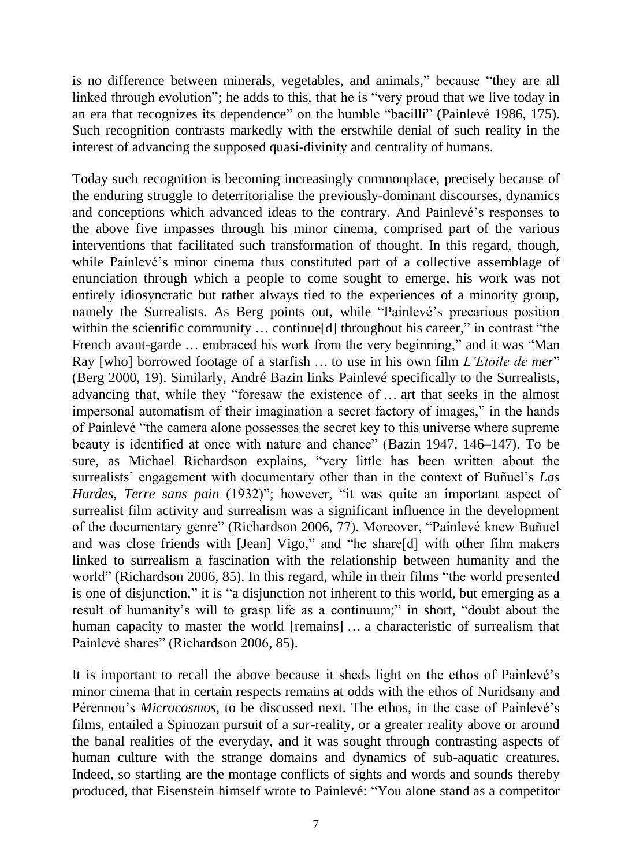is no difference between minerals, vegetables, and animals," because "they are all linked through evolution"; he adds to this, that he is "very proud that we live today in an era that recognizes its dependence" on the humble "bacilli" (Painlevé 1986, 175). Such recognition contrasts markedly with the erstwhile denial of such reality in the interest of advancing the supposed quasi-divinity and centrality of humans.

Today such recognition is becoming increasingly commonplace, precisely because of the enduring struggle to deterritorialise the previously-dominant discourses, dynamics and conceptions which advanced ideas to the contrary. And Painlevé's responses to the above five impasses through his minor cinema, comprised part of the various interventions that facilitated such transformation of thought. In this regard, though, while Painlevé's minor cinema thus constituted part of a collective assemblage of enunciation through which a people to come sought to emerge, his work was not entirely idiosyncratic but rather always tied to the experiences of a minority group, namely the Surrealists. As Berg points out, while "Painlevé's precarious position within the scientific community ... continue[d] throughout his career," in contrast "the French avant-garde … embraced his work from the very beginning," and it was "Man Ray [who] borrowed footage of a starfish … to use in his own film *L'Etoile de mer*" (Berg 2000, 19). Similarly, André Bazin links Painlevé specifically to the Surrealists, advancing that, while they "foresaw the existence of … art that seeks in the almost impersonal automatism of their imagination a secret factory of images," in the hands of Painlevé "the camera alone possesses the secret key to this universe where supreme beauty is identified at once with nature and chance" (Bazin 1947, 146–147). To be sure, as Michael Richardson explains, "very little has been written about the surrealists' engagement with documentary other than in the context of Buñuel's *Las Hurdes, Terre sans pain* (1932)"; however, "it was quite an important aspect of surrealist film activity and surrealism was a significant influence in the development of the documentary genre" (Richardson 2006, 77). Moreover, "Painlevé knew Buñuel and was close friends with [Jean] Vigo," and "he share[d] with other film makers linked to surrealism a fascination with the relationship between humanity and the world" (Richardson 2006, 85). In this regard, while in their films "the world presented is one of disjunction," it is "a disjunction not inherent to this world, but emerging as a result of humanity's will to grasp life as a continuum;" in short, "doubt about the human capacity to master the world [remains] ... a characteristic of surrealism that Painlevé shares" (Richardson 2006, 85).

It is important to recall the above because it sheds light on the ethos of Painlevé's minor cinema that in certain respects remains at odds with the ethos of Nuridsany and Pérennou's *Microcosmos*, to be discussed next. The ethos, in the case of Painlevé's films, entailed a Spinozan pursuit of a *sur*-reality, or a greater reality above or around the banal realities of the everyday, and it was sought through contrasting aspects of human culture with the strange domains and dynamics of sub-aquatic creatures. Indeed, so startling are the montage conflicts of sights and words and sounds thereby produced, that Eisenstein himself wrote to Painlevé: "You alone stand as a competitor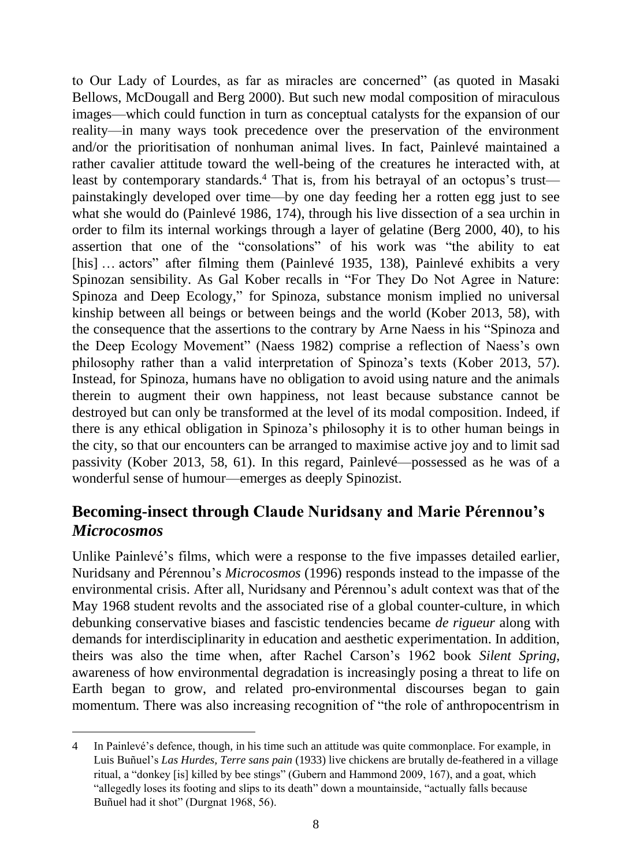to Our Lady of Lourdes, as far as miracles are concerned" (as quoted in Masaki Bellows, McDougall and Berg 2000). But such new modal composition of miraculous images—which could function in turn as conceptual catalysts for the expansion of our reality—in many ways took precedence over the preservation of the environment and/or the prioritisation of nonhuman animal lives. In fact, Painlevé maintained a rather cavalier attitude toward the well-being of the creatures he interacted with, at least by contemporary standards. <sup>4</sup> That is, from his betrayal of an octopus's trust painstakingly developed over time—by one day feeding her a rotten egg just to see what she would do (Painlevé 1986, 174), through his live dissection of a sea urchin in order to film its internal workings through a layer of gelatine (Berg 2000, 40), to his assertion that one of the "consolations" of his work was "the ability to eat [his] ... actors" after filming them (Painlevé 1935, 138), Painlevé exhibits a very Spinozan sensibility. As Gal Kober recalls in "For They Do Not Agree in Nature: Spinoza and Deep Ecology," for Spinoza, substance monism implied no universal kinship between all beings or between beings and the world (Kober 2013, 58), with the consequence that the assertions to the contrary by Arne Naess in his "Spinoza and the Deep Ecology Movement" (Naess 1982) comprise a reflection of Naess's own philosophy rather than a valid interpretation of Spinoza's texts (Kober 2013, 57). Instead, for Spinoza, humans have no obligation to avoid using nature and the animals therein to augment their own happiness, not least because substance cannot be destroyed but can only be transformed at the level of its modal composition. Indeed, if there is any ethical obligation in Spinoza's philosophy it is to other human beings in the city, so that our encounters can be arranged to maximise active joy and to limit sad passivity (Kober 2013, 58, 61). In this regard, Painlevé—possessed as he was of a wonderful sense of humour—emerges as deeply Spinozist.

### **Becoming-insect through Claude Nuridsany and Marie Pérennou's**  *Microcosmos*

Unlike Painlevé's films, which were a response to the five impasses detailed earlier, Nuridsany and Pérennou's *Microcosmos* (1996) responds instead to the impasse of the environmental crisis. After all, Nuridsany and Pérennou's adult context was that of the May 1968 student revolts and the associated rise of a global counter-culture, in which debunking conservative biases and fascistic tendencies became *de rigueur* along with demands for interdisciplinarity in education and aesthetic experimentation. In addition, theirs was also the time when, after Rachel Carson's 1962 book *Silent Spring*, awareness of how environmental degradation is increasingly posing a threat to life on Earth began to grow, and related pro-environmental discourses began to gain momentum. There was also increasing recognition of "the role of anthropocentrism in

<sup>1</sup> 4 In Painlevé's defence, though, in his time such an attitude was quite commonplace. For example, in Luis Buñuel's *Las Hurdes, Terre sans pain* (1933) live chickens are brutally de-feathered in a village ritual, a "donkey [is] killed by bee stings" (Gubern and Hammond 2009, 167), and a goat, which "allegedly loses its footing and slips to its death" down a mountainside, "actually falls because Buñuel had it shot" (Durgnat 1968, 56).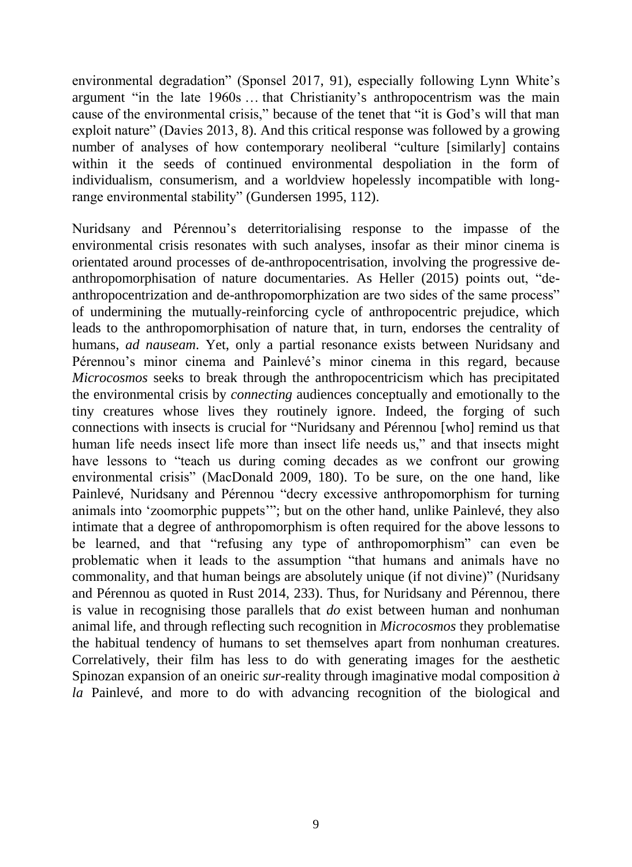environmental degradation" (Sponsel 2017, 91), especially following Lynn White's argument "in the late 1960s … that Christianity's anthropocentrism was the main cause of the environmental crisis," because of the tenet that "it is God's will that man exploit nature" (Davies 2013, 8). And this critical response was followed by a growing number of analyses of how contemporary neoliberal "culture [similarly] contains within it the seeds of continued environmental despoliation in the form of individualism, consumerism, and a worldview hopelessly incompatible with longrange environmental stability" (Gundersen 1995, 112).

Nuridsany and Pérennou's deterritorialising response to the impasse of the environmental crisis resonates with such analyses, insofar as their minor cinema is orientated around processes of de-anthropocentrisation, involving the progressive deanthropomorphisation of nature documentaries. As Heller (2015) points out, "deanthropocentrization and de-anthropomorphization are two sides of the same process" of undermining the mutually-reinforcing cycle of anthropocentric prejudice, which leads to the anthropomorphisation of nature that, in turn, endorses the centrality of humans, *ad nauseam*. Yet, only a partial resonance exists between Nuridsany and Pérennou's minor cinema and Painlevé's minor cinema in this regard, because *Microcosmos* seeks to break through the anthropocentricism which has precipitated the environmental crisis by *connecting* audiences conceptually and emotionally to the tiny creatures whose lives they routinely ignore. Indeed, the forging of such connections with insects is crucial for "Nuridsany and Pérennou [who] remind us that human life needs insect life more than insect life needs us," and that insects might have lessons to "teach us during coming decades as we confront our growing environmental crisis" (MacDonald 2009, 180). To be sure, on the one hand, like Painlevé, Nuridsany and Pérennou "decry excessive anthropomorphism for turning animals into 'zoomorphic puppets'"; but on the other hand, unlike Painlevé, they also intimate that a degree of anthropomorphism is often required for the above lessons to be learned, and that "refusing any type of anthropomorphism" can even be problematic when it leads to the assumption "that humans and animals have no commonality, and that human beings are absolutely unique (if not divine)" (Nuridsany and Pérennou as quoted in Rust 2014, 233). Thus, for Nuridsany and Pérennou, there is value in recognising those parallels that *do* exist between human and nonhuman animal life, and through reflecting such recognition in *Microcosmos* they problematise the habitual tendency of humans to set themselves apart from nonhuman creatures. Correlatively, their film has less to do with generating images for the aesthetic Spinozan expansion of an oneiric *sur*-reality through imaginative modal composition *à la* Painlevé, and more to do with advancing recognition of the biological and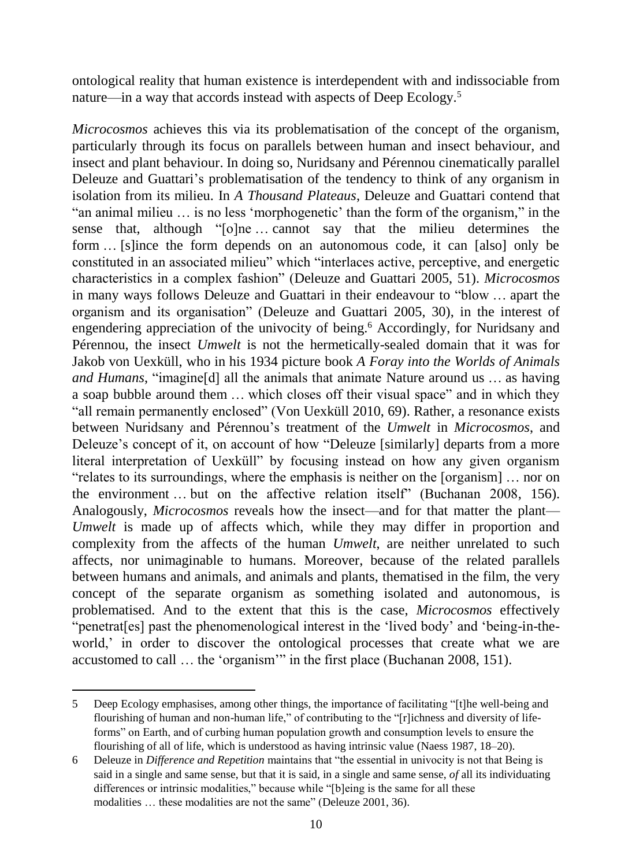ontological reality that human existence is interdependent with and indissociable from nature—in a way that accords instead with aspects of Deep Ecology.<sup>5</sup>

*Microcosmos* achieves this via its problematisation of the concept of the organism, particularly through its focus on parallels between human and insect behaviour, and insect and plant behaviour. In doing so, Nuridsany and Pérennou cinematically parallel Deleuze and Guattari's problematisation of the tendency to think of any organism in isolation from its milieu. In *A Thousand Plateaus*, Deleuze and Guattari contend that "an animal milieu … is no less 'morphogenetic' than the form of the organism," in the sense that, although "[o]ne … cannot say that the milieu determines the form … [s]ince the form depends on an autonomous code, it can [also] only be constituted in an associated milieu" which "interlaces active, perceptive, and energetic characteristics in a complex fashion" (Deleuze and Guattari 2005, 51). *Microcosmos* in many ways follows Deleuze and Guattari in their endeavour to "blow … apart the organism and its organisation" (Deleuze and Guattari 2005, 30), in the interest of engendering appreciation of the univocity of being.<sup>6</sup> Accordingly, for Nuridsany and Pérennou, the insect *Umwelt* is not the hermetically-sealed domain that it was for Jakob von Uexküll, who in his 1934 picture book *A Foray into the Worlds of Animals and Humans*, "imagine[d] all the animals that animate Nature around us … as having a soap bubble around them … which closes off their visual space" and in which they "all remain permanently enclosed" (Von Uexküll 2010, 69). Rather, a resonance exists between Nuridsany and Pérennou's treatment of the *Umwelt* in *Microcosmos*, and Deleuze's concept of it, on account of how "Deleuze [similarly] departs from a more literal interpretation of Uexküll" by focusing instead on how any given organism "relates to its surroundings, where the emphasis is neither on the [organism] … nor on the environment … but on the affective relation itself" (Buchanan 2008, 156). Analogously, *Microcosmos* reveals how the insect—and for that matter the plant— *Umwelt* is made up of affects which, while they may differ in proportion and complexity from the affects of the human *Umwelt*, are neither unrelated to such affects, nor unimaginable to humans. Moreover, because of the related parallels between humans and animals, and animals and plants, thematised in the film, the very concept of the separate organism as something isolated and autonomous, is problematised. And to the extent that this is the case, *Microcosmos* effectively "penetrat[es] past the phenomenological interest in the 'lived body' and 'being-in-theworld,' in order to discover the ontological processes that create what we are accustomed to call … the 'organism'" in the first place (Buchanan 2008, 151).

<sup>5</sup> Deep Ecology emphasises, among other things, the importance of facilitating "[t]he well-being and flourishing of human and non-human life," of contributing to the "[r]ichness and diversity of lifeforms" on Earth, and of curbing human population growth and consumption levels to ensure the flourishing of all of life, which is understood as having intrinsic value (Naess 1987, 18–20).

<sup>6</sup> Deleuze in *Difference and Repetition* maintains that "the essential in univocity is not that Being is said in a single and same sense, but that it is said, in a single and same sense, *of* all its individuating differences or intrinsic modalities," because while "[b]eing is the same for all these modalities … these modalities are not the same" (Deleuze 2001, 36).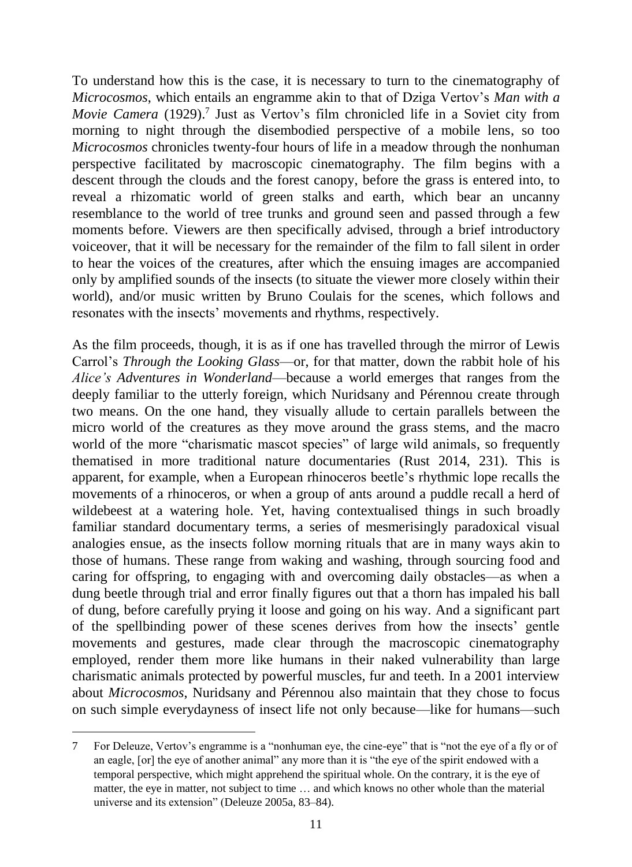To understand how this is the case, it is necessary to turn to the cinematography of *Microcosmos*, which entails an engramme akin to that of Dziga Vertov's *Man with a Movie Camera* (1929). 7 Just as Vertov's film chronicled life in a Soviet city from morning to night through the disembodied perspective of a mobile lens, so too *Microcosmos* chronicles twenty-four hours of life in a meadow through the nonhuman perspective facilitated by macroscopic cinematography. The film begins with a descent through the clouds and the forest canopy, before the grass is entered into, to reveal a rhizomatic world of green stalks and earth, which bear an uncanny resemblance to the world of tree trunks and ground seen and passed through a few moments before. Viewers are then specifically advised, through a brief introductory voiceover, that it will be necessary for the remainder of the film to fall silent in order to hear the voices of the creatures, after which the ensuing images are accompanied only by amplified sounds of the insects (to situate the viewer more closely within their world), and/or music written by Bruno Coulais for the scenes, which follows and resonates with the insects' movements and rhythms, respectively.

As the film proceeds, though, it is as if one has travelled through the mirror of Lewis Carrol's *Through the Looking Glass*—or, for that matter, down the rabbit hole of his *Alice's Adventures in Wonderland*—because a world emerges that ranges from the deeply familiar to the utterly foreign, which Nuridsany and Pérennou create through two means. On the one hand, they visually allude to certain parallels between the micro world of the creatures as they move around the grass stems, and the macro world of the more "charismatic mascot species" of large wild animals, so frequently thematised in more traditional nature documentaries (Rust 2014, 231). This is apparent, for example, when a European rhinoceros beetle's rhythmic lope recalls the movements of a rhinoceros, or when a group of ants around a puddle recall a herd of wildebeest at a watering hole. Yet, having contextualised things in such broadly familiar standard documentary terms, a series of mesmerisingly paradoxical visual analogies ensue, as the insects follow morning rituals that are in many ways akin to those of humans. These range from waking and washing, through sourcing food and caring for offspring, to engaging with and overcoming daily obstacles—as when a dung beetle through trial and error finally figures out that a thorn has impaled his ball of dung, before carefully prying it loose and going on his way. And a significant part of the spellbinding power of these scenes derives from how the insects' gentle movements and gestures, made clear through the macroscopic cinematography employed, render them more like humans in their naked vulnerability than large charismatic animals protected by powerful muscles, fur and teeth. In a 2001 interview about *Microcosmos*, Nuridsany and Pérennou also maintain that they chose to focus on such simple everydayness of insect life not only because—like for humans—such

<sup>7</sup> For Deleuze, Vertov's engramme is a "nonhuman eye, the cine-eye" that is "not the eye of a fly or of an eagle, [or] the eye of another animal" any more than it is "the eye of the spirit endowed with a temporal perspective, which might apprehend the spiritual whole. On the contrary, it is the eye of matter, the eye in matter, not subject to time … and which knows no other whole than the material universe and its extension" (Deleuze 2005a, 83–84).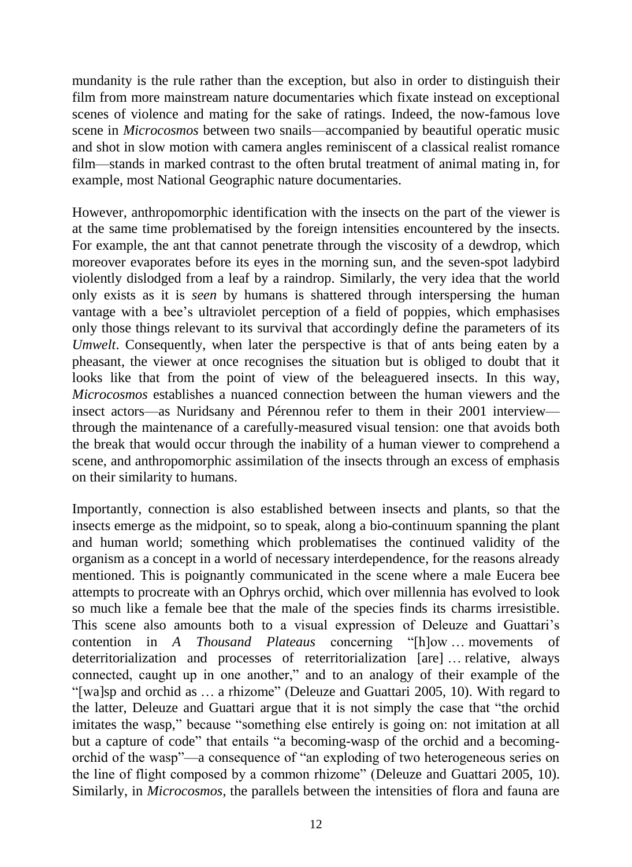mundanity is the rule rather than the exception, but also in order to distinguish their film from more mainstream nature documentaries which fixate instead on exceptional scenes of violence and mating for the sake of ratings. Indeed, the now-famous love scene in *Microcosmos* between two snails—accompanied by beautiful operatic music and shot in slow motion with camera angles reminiscent of a classical realist romance film—stands in marked contrast to the often brutal treatment of animal mating in, for example, most National Geographic nature documentaries.

However, anthropomorphic identification with the insects on the part of the viewer is at the same time problematised by the foreign intensities encountered by the insects. For example, the ant that cannot penetrate through the viscosity of a dewdrop, which moreover evaporates before its eyes in the morning sun, and the seven-spot ladybird violently dislodged from a leaf by a raindrop. Similarly, the very idea that the world only exists as it is *seen* by humans is shattered through interspersing the human vantage with a bee's ultraviolet perception of a field of poppies, which emphasises only those things relevant to its survival that accordingly define the parameters of its *Umwelt*. Consequently, when later the perspective is that of ants being eaten by a pheasant, the viewer at once recognises the situation but is obliged to doubt that it looks like that from the point of view of the beleaguered insects. In this way, *Microcosmos* establishes a nuanced connection between the human viewers and the insect actors—as Nuridsany and Pérennou refer to them in their 2001 interview through the maintenance of a carefully-measured visual tension: one that avoids both the break that would occur through the inability of a human viewer to comprehend a scene, and anthropomorphic assimilation of the insects through an excess of emphasis on their similarity to humans.

Importantly, connection is also established between insects and plants, so that the insects emerge as the midpoint, so to speak, along a bio-continuum spanning the plant and human world; something which problematises the continued validity of the organism as a concept in a world of necessary interdependence, for the reasons already mentioned. This is poignantly communicated in the scene where a male Eucera bee attempts to procreate with an Ophrys orchid, which over millennia has evolved to look so much like a female bee that the male of the species finds its charms irresistible. This scene also amounts both to a visual expression of Deleuze and Guattari's contention in *A Thousand Plateaus* concerning "[h]ow … movements of deterritorialization and processes of reterritorialization [are] … relative, always connected, caught up in one another," and to an analogy of their example of the "[wa]sp and orchid as … a rhizome" (Deleuze and Guattari 2005, 10). With regard to the latter, Deleuze and Guattari argue that it is not simply the case that "the orchid imitates the wasp," because "something else entirely is going on: not imitation at all but a capture of code" that entails "a becoming-wasp of the orchid and a becomingorchid of the wasp"—a consequence of "an exploding of two heterogeneous series on the line of flight composed by a common rhizome" (Deleuze and Guattari 2005, 10). Similarly, in *Microcosmos*, the parallels between the intensities of flora and fauna are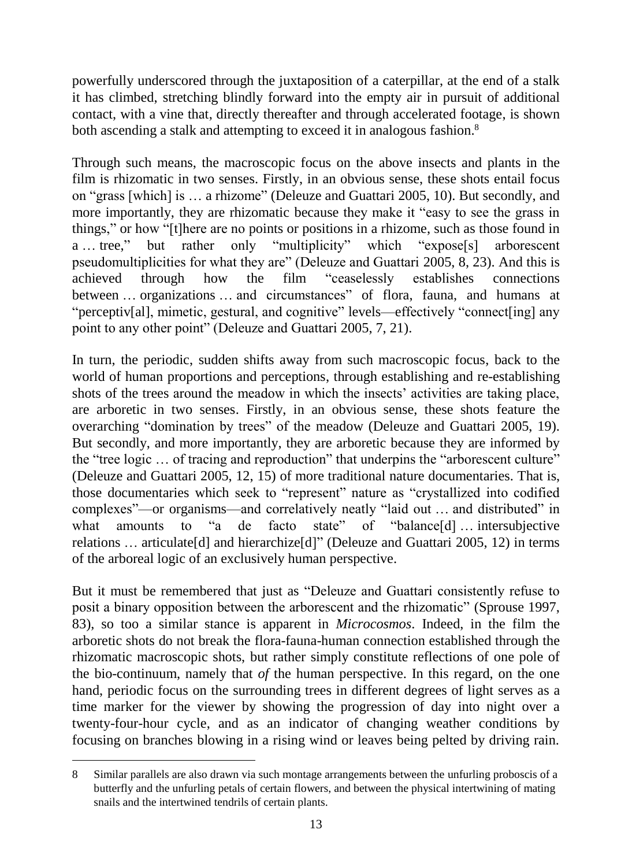powerfully underscored through the juxtaposition of a caterpillar, at the end of a stalk it has climbed, stretching blindly forward into the empty air in pursuit of additional contact, with a vine that, directly thereafter and through accelerated footage, is shown both ascending a stalk and attempting to exceed it in analogous fashion.<sup>8</sup>

Through such means, the macroscopic focus on the above insects and plants in the film is rhizomatic in two senses. Firstly, in an obvious sense, these shots entail focus on "grass [which] is … a rhizome" (Deleuze and Guattari 2005, 10). But secondly, and more importantly, they are rhizomatic because they make it "easy to see the grass in things," or how "[t]here are no points or positions in a rhizome, such as those found in a … tree," but rather only "multiplicity" which "expose[s] arborescent pseudomultiplicities for what they are" (Deleuze and Guattari 2005, 8, 23). And this is achieved through how the film "ceaselessly establishes connections between … organizations … and circumstances" of flora, fauna, and humans at "perceptiv[al], mimetic, gestural, and cognitive" levels—effectively "connect[ing] any point to any other point" (Deleuze and Guattari 2005, 7, 21).

In turn, the periodic, sudden shifts away from such macroscopic focus, back to the world of human proportions and perceptions, through establishing and re-establishing shots of the trees around the meadow in which the insects' activities are taking place, are arboretic in two senses. Firstly, in an obvious sense, these shots feature the overarching "domination by trees" of the meadow (Deleuze and Guattari 2005, 19). But secondly, and more importantly, they are arboretic because they are informed by the "tree logic … of tracing and reproduction" that underpins the "arborescent culture" (Deleuze and Guattari 2005, 12, 15) of more traditional nature documentaries. That is, those documentaries which seek to "represent" nature as "crystallized into codified complexes"—or organisms—and correlatively neatly "laid out … and distributed" in what amounts to "a de facto state" of "balance<sup>[d]</sup> ... intersubjective relations  $\ldots$  articulate<sup>[d]</sup> and hierarchize<sup>[d]</sup>" (Deleuze and Guattari 2005, 12) in terms of the arboreal logic of an exclusively human perspective.

But it must be remembered that just as "Deleuze and Guattari consistently refuse to posit a binary opposition between the arborescent and the rhizomatic" (Sprouse 1997, 83), so too a similar stance is apparent in *Microcosmos*. Indeed, in the film the arboretic shots do not break the flora-fauna-human connection established through the rhizomatic macroscopic shots, but rather simply constitute reflections of one pole of the bio-continuum, namely that *of* the human perspective. In this regard, on the one hand, periodic focus on the surrounding trees in different degrees of light serves as a time marker for the viewer by showing the progression of day into night over a twenty-four-hour cycle, and as an indicator of changing weather conditions by focusing on branches blowing in a rising wind or leaves being pelted by driving rain.

<sup>8</sup> Similar parallels are also drawn via such montage arrangements between the unfurling proboscis of a butterfly and the unfurling petals of certain flowers, and between the physical intertwining of mating snails and the intertwined tendrils of certain plants.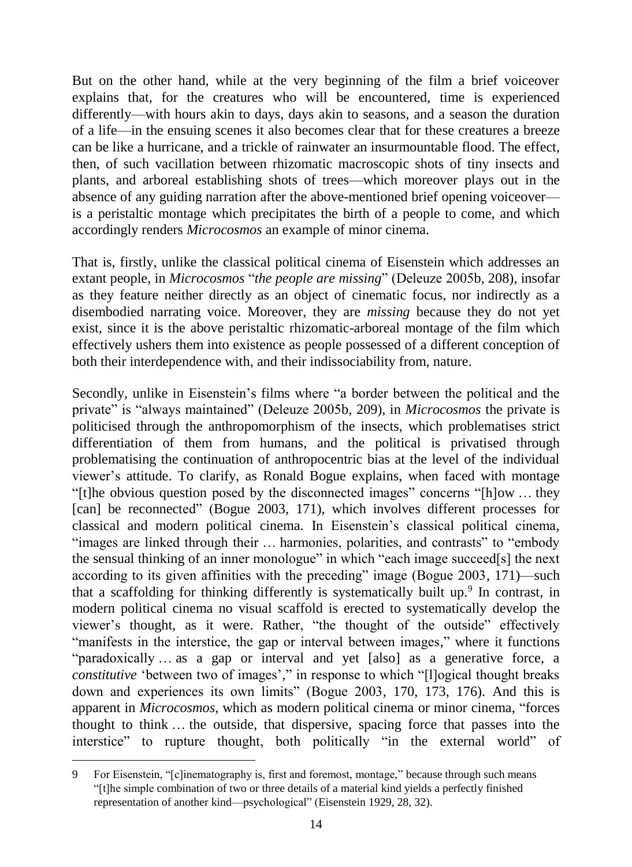But on the other hand, while at the very beginning of the film a brief voiceover explains that, for the creatures who will be encountered, time is experienced differently—with hours akin to days, days akin to seasons, and a season the duration of a life—in the ensuing scenes it also becomes clear that for these creatures a breeze can be like a hurricane, and a trickle of rainwater an insurmountable flood. The effect, then, of such vacillation between rhizomatic macroscopic shots of tiny insects and plants, and arboreal establishing shots of trees—which moreover plays out in the absence of any guiding narration after the above-mentioned brief opening voiceover is a peristaltic montage which precipitates the birth of a people to come, and which accordingly renders *Microcosmos* an example of minor cinema.

That is, firstly, unlike the classical political cinema of Eisenstein which addresses an extant people, in *Microcosmos* "*the people are missing*" (Deleuze 2005b, 208), insofar as they feature neither directly as an object of cinematic focus, nor indirectly as a disembodied narrating voice. Moreover, they are *missing* because they do not yet exist, since it is the above peristaltic rhizomatic-arboreal montage of the film which effectively ushers them into existence as people possessed of a different conception of both their interdependence with, and their indissociability from, nature.

Secondly, unlike in Eisenstein's films where "a border between the political and the private" is "always maintained" (Deleuze 2005b, 209), in *Microcosmos* the private is politicised through the anthropomorphism of the insects, which problematises strict differentiation of them from humans, and the political is privatised through problematising the continuation of anthropocentric bias at the level of the individual viewer's attitude. To clarify, as Ronald Bogue explains, when faced with montage "[t]he obvious question posed by the disconnected images" concerns "[h]ow … they [can] be reconnected" (Bogue 2003, 171), which involves different processes for classical and modern political cinema. In Eisenstein's classical political cinema, "images are linked through their … harmonies, polarities, and contrasts" to "embody the sensual thinking of an inner monologue" in which "each image succeed[s] the next according to its given affinities with the preceding" image (Bogue 2003, 171)—such that a scaffolding for thinking differently is systematically built up.<sup>9</sup> In contrast, in modern political cinema no visual scaffold is erected to systematically develop the viewer's thought, as it were. Rather, "the thought of the outside" effectively "manifests in the interstice, the gap or interval between images," where it functions "paradoxically … as a gap or interval and yet [also] as a generative force, a *constitutive* 'between two of images'," in response to which "[l]ogical thought breaks down and experiences its own limits" (Bogue 2003, 170, 173, 176). And this is apparent in *Microcosmos*, which as modern political cinema or minor cinema, "forces thought to think … the outside, that dispersive, spacing force that passes into the interstice" to rupture thought, both politically "in the external world" of

<sup>9</sup> For Eisenstein, "[c]inematography is, first and foremost, montage," because through such means "[t]he simple combination of two or three details of a material kind yields a perfectly finished representation of another kind—psychological" (Eisenstein 1929, 28, 32).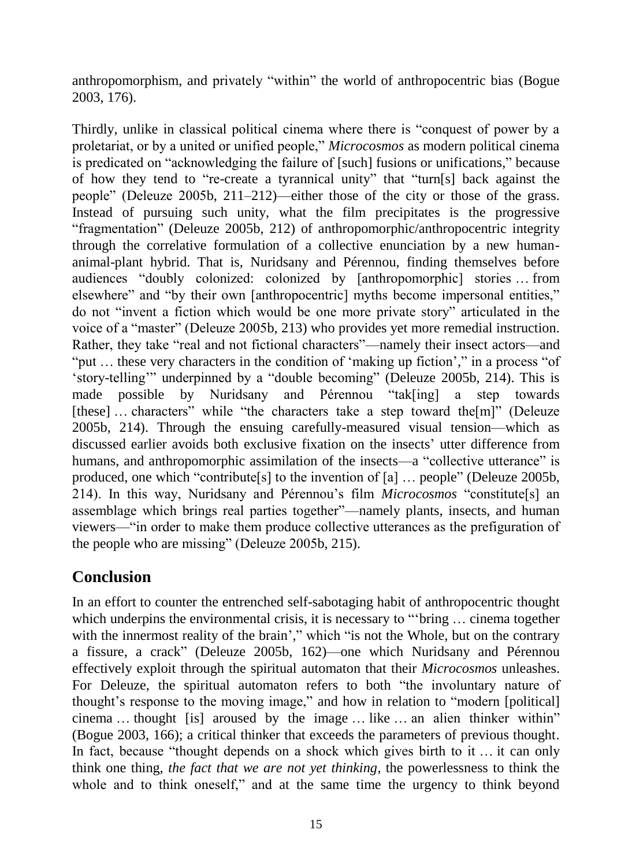anthropomorphism, and privately "within" the world of anthropocentric bias (Bogue 2003, 176).

Thirdly, unlike in classical political cinema where there is "conquest of power by a proletariat, or by a united or unified people," *Microcosmos* as modern political cinema is predicated on "acknowledging the failure of [such] fusions or unifications," because of how they tend to "re-create a tyrannical unity" that "turn[s] back against the people" (Deleuze 2005b, 211–212)—either those of the city or those of the grass. Instead of pursuing such unity, what the film precipitates is the progressive "fragmentation" (Deleuze 2005b, 212) of anthropomorphic/anthropocentric integrity through the correlative formulation of a collective enunciation by a new humananimal-plant hybrid. That is, Nuridsany and Pérennou, finding themselves before audiences "doubly colonized: colonized by [anthropomorphic] stories … from elsewhere" and "by their own [anthropocentric] myths become impersonal entities," do not "invent a fiction which would be one more private story" articulated in the voice of a "master" (Deleuze 2005b, 213) who provides yet more remedial instruction. Rather, they take "real and not fictional characters"—namely their insect actors—and "put … these very characters in the condition of 'making up fiction'," in a process "of 'story-telling'" underpinned by a "double becoming" (Deleuze 2005b, 214). This is made possible by Nuridsany and Pérennou "tak[ing] a step towards [these] ... characters" while "the characters take a step toward the[m]" (Deleuze 2005b, 214). Through the ensuing carefully-measured visual tension—which as discussed earlier avoids both exclusive fixation on the insects' utter difference from humans, and anthropomorphic assimilation of the insects—a "collective utterance" is produced, one which "contribute[s] to the invention of [a] … people" (Deleuze 2005b, 214). In this way, Nuridsany and Pérennou's film *Microcosmos* "constitute[s] an assemblage which brings real parties together"—namely plants, insects, and human viewers—"in order to make them produce collective utterances as the prefiguration of the people who are missing" (Deleuze 2005b, 215).

# **Conclusion**

In an effort to counter the entrenched self-sabotaging habit of anthropocentric thought which underpins the environmental crisis, it is necessary to "bring ... cinema together with the innermost reality of the brain'," which "is not the Whole, but on the contrary a fissure, a crack" (Deleuze 2005b, 162)—one which Nuridsany and Pérennou effectively exploit through the spiritual automaton that their *Microcosmos* unleashes. For Deleuze, the spiritual automaton refers to both "the involuntary nature of thought's response to the moving image," and how in relation to "modern [political] cinema … thought [is] aroused by the image … like … an alien thinker within" (Bogue 2003, 166); a critical thinker that exceeds the parameters of previous thought. In fact, because "thought depends on a shock which gives birth to it ... it can only think one thing, *the fact that we are not yet thinking*, the powerlessness to think the whole and to think oneself," and at the same time the urgency to think beyond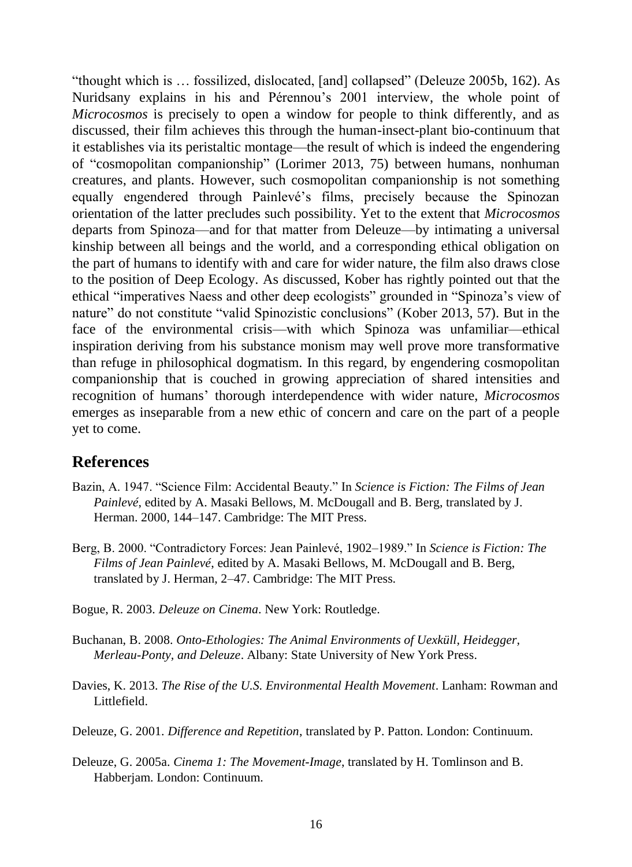"thought which is … fossilized, dislocated, [and] collapsed" (Deleuze 2005b, 162). As Nuridsany explains in his and Pérennou's 2001 interview, the whole point of *Microcosmos* is precisely to open a window for people to think differently, and as discussed, their film achieves this through the human-insect-plant bio-continuum that it establishes via its peristaltic montage—the result of which is indeed the engendering of "cosmopolitan companionship" (Lorimer 2013, 75) between humans, nonhuman creatures, and plants. However, such cosmopolitan companionship is not something equally engendered through Painlevé's films, precisely because the Spinozan orientation of the latter precludes such possibility. Yet to the extent that *Microcosmos* departs from Spinoza—and for that matter from Deleuze—by intimating a universal kinship between all beings and the world, and a corresponding ethical obligation on the part of humans to identify with and care for wider nature, the film also draws close to the position of Deep Ecology. As discussed, Kober has rightly pointed out that the ethical "imperatives Naess and other deep ecologists" grounded in "Spinoza's view of nature" do not constitute "valid Spinozistic conclusions" (Kober 2013, 57). But in the face of the environmental crisis—with which Spinoza was unfamiliar—ethical inspiration deriving from his substance monism may well prove more transformative than refuge in philosophical dogmatism. In this regard, by engendering cosmopolitan companionship that is couched in growing appreciation of shared intensities and recognition of humans' thorough interdependence with wider nature, *Microcosmos* emerges as inseparable from a new ethic of concern and care on the part of a people yet to come.

#### **References**

- Bazin, A. 1947. "Science Film: Accidental Beauty." In *Science is Fiction: The Films of Jean Painlevé*, edited by A. Masaki Bellows, M. McDougall and B. Berg, translated by J. Herman. 2000, 144–147. Cambridge: The MIT Press.
- Berg, B. 2000. "Contradictory Forces: Jean Painlevé, 1902–1989." In *Science is Fiction: The Films of Jean Painlevé*, edited by A. Masaki Bellows, M. McDougall and B. Berg, translated by J. Herman, 2–47. Cambridge: The MIT Press.
- Bogue, R. 2003. *Deleuze on Cinema*. New York: Routledge.
- Buchanan, B. 2008. *Onto-Ethologies: The Animal Environments of Uexküll, Heidegger, Merleau-Ponty, and Deleuze*. Albany: State University of New York Press.
- Davies, K. 2013. *The Rise of the U.S. Environmental Health Movement*. Lanham: Rowman and Littlefield.
- Deleuze, G. 2001. *Difference and Repetition*, translated by P. Patton. London: Continuum.
- Deleuze, G. 2005a. *Cinema 1: The Movement-Image*, translated by H. Tomlinson and B. Habberjam. London: Continuum.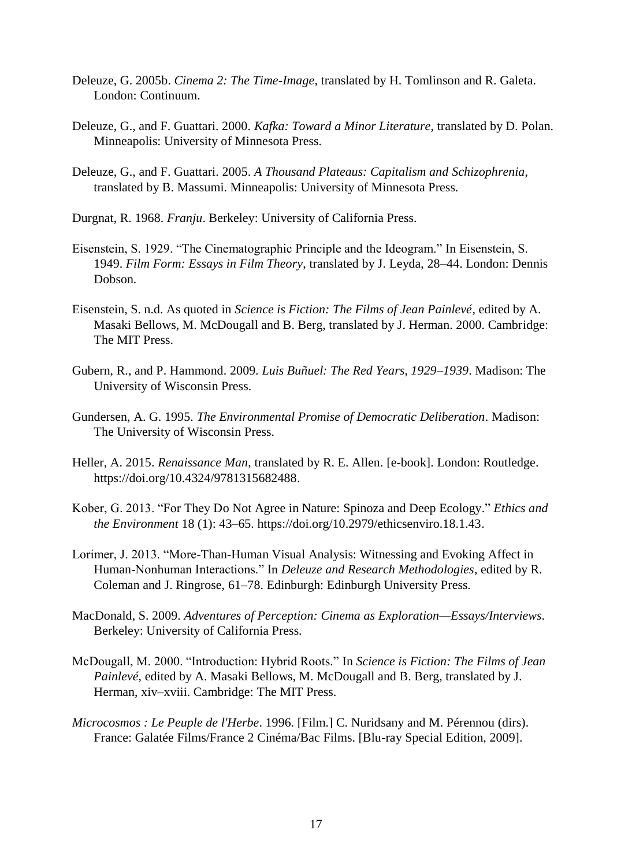- Deleuze, G. 2005b. *Cinema 2: The Time-Image*, translated by H. Tomlinson and R. Galeta. London: Continuum.
- Deleuze, G., and F. Guattari. 2000. *Kafka: Toward a Minor Literature*, translated by D. Polan. Minneapolis: University of Minnesota Press.
- Deleuze, G., and F. Guattari. 2005. *A Thousand Plateaus: Capitalism and Schizophrenia*, translated by B. Massumi. Minneapolis: University of Minnesota Press.
- Durgnat, R. 1968. *Franju*. Berkeley: University of California Press.
- Eisenstein, S. 1929. "The Cinematographic Principle and the Ideogram." In Eisenstein, S. 1949. *Film Form: Essays in Film Theory*, translated by J. Leyda, 28–44. London: Dennis Dobson.
- Eisenstein, S. n.d. As quoted in *Science is Fiction: The Films of Jean Painlevé*, edited by A. Masaki Bellows, M. McDougall and B. Berg, translated by J. Herman. 2000. Cambridge: The MIT Press.
- Gubern, R., and P. Hammond. 2009. *Luis Buñuel: The Red Years, 1929–1939*. Madison: The University of Wisconsin Press.
- Gundersen, A. G. 1995. *The Environmental Promise of Democratic Deliberation*. Madison: The University of Wisconsin Press.
- Heller, A. 2015. *Renaissance Man*, translated by R. E. Allen. [e-book]. London: Routledge. [https://doi.org/10.4324/9781315682488.](https://doi.org/10.4324/9781315682488)
- Kober, G. 2013. "For They Do Not Agree in Nature: Spinoza and Deep Ecology." *Ethics and the Environment* 18 (1): 43–65. [https://doi.org/10.2979/ethicsenviro.18.1.43.](https://doi.org/10.2979/ethicsenviro.18.1.43)
- Lorimer, J. 2013. "More-Than-Human Visual Analysis: Witnessing and Evoking Affect in Human-Nonhuman Interactions." In *Deleuze and Research Methodologies*, edited by R. Coleman and J. Ringrose, 61–78. Edinburgh: Edinburgh University Press.
- MacDonald, S. 2009. *Adventures of Perception: Cinema as Exploration—Essays/Interviews*. Berkeley: University of California Press.
- McDougall, M. 2000. "Introduction: Hybrid Roots." In *Science is Fiction: The Films of Jean Painlevé*, edited by A. Masaki Bellows, M. McDougall and B. Berg, translated by J. Herman, xiv–xviii. Cambridge: The MIT Press.
- *Microcosmos : Le Peuple de l'Herbe*. 1996. [Film.] C. Nuridsany and M. Pérennou (dirs). France: Galatée Films/France 2 Cinéma/Bac Films. [Blu-ray Special Edition, 2009].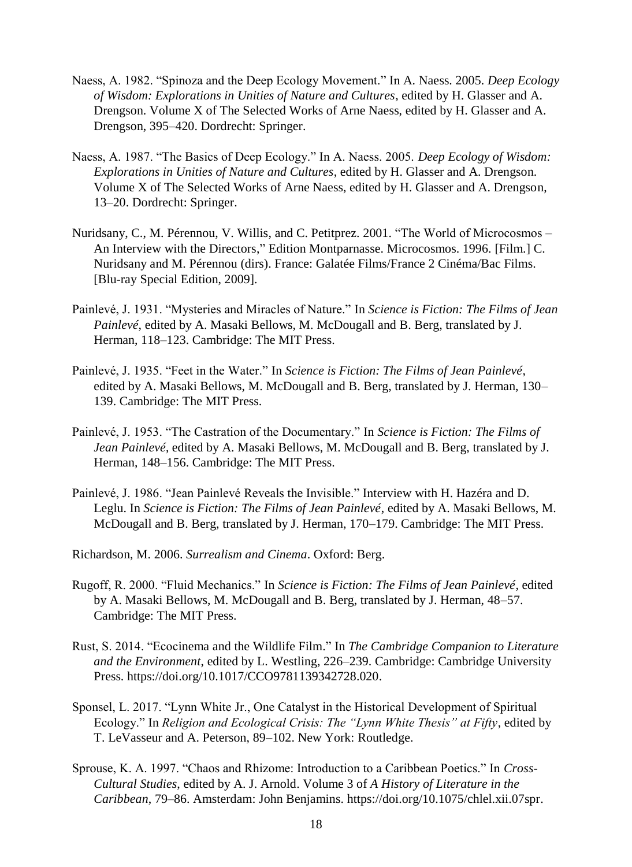- Naess, A. 1982. "Spinoza and the Deep Ecology Movement." In A. Naess. 2005. *Deep Ecology of Wisdom: Explorations in Unities of Nature and Cultures*, edited by H. Glasser and A. Drengson. Volume X of The Selected Works of Arne Naess, edited by H. Glasser and A. Drengson, 395–420. Dordrecht: Springer.
- Naess, A. 1987. "The Basics of Deep Ecology." In A. Naess. 2005. *Deep Ecology of Wisdom: Explorations in Unities of Nature and Cultures*, edited by H. Glasser and A. Drengson. Volume X of The Selected Works of Arne Naess, edited by H. Glasser and A. Drengson, 13–20. Dordrecht: Springer.
- Nuridsany, C., M. Pérennou, V. Willis, and C. Petitprez. 2001. "The World of Microcosmos An Interview with the Directors," Edition Montparnasse. Microcosmos. 1996. [Film.] C. Nuridsany and M. Pérennou (dirs). France: Galatée Films/France 2 Cinéma/Bac Films. [Blu-ray Special Edition, 2009].
- Painlevé, J. 1931. "Mysteries and Miracles of Nature." In *Science is Fiction: The Films of Jean Painlevé*, edited by A. Masaki Bellows, M. McDougall and B. Berg, translated by J. Herman, 118–123. Cambridge: The MIT Press.
- Painlevé, J. 1935. "Feet in the Water." In *Science is Fiction: The Films of Jean Painlevé*, edited by A. Masaki Bellows, M. McDougall and B. Berg, translated by J. Herman, 130– 139. Cambridge: The MIT Press.
- Painlevé, J. 1953. "The Castration of the Documentary." In *Science is Fiction: The Films of Jean Painlevé*, edited by A. Masaki Bellows, M. McDougall and B. Berg, translated by J. Herman, 148–156. Cambridge: The MIT Press.
- Painlevé, J. 1986. "Jean Painlevé Reveals the Invisible." Interview with H. Hazéra and D. Leglu. In *Science is Fiction: The Films of Jean Painlevé*, edited by A. Masaki Bellows, M. McDougall and B. Berg, translated by J. Herman, 170–179. Cambridge: The MIT Press.
- Richardson, M. 2006. *Surrealism and Cinema*. Oxford: Berg.
- Rugoff, R. 2000. "Fluid Mechanics." In *Science is Fiction: The Films of Jean Painlevé*, edited by A. Masaki Bellows, M. McDougall and B. Berg, translated by J. Herman, 48–57. Cambridge: The MIT Press.
- Rust, S. 2014. "Ecocinema and the Wildlife Film." In *The Cambridge Companion to Literature and the Environment*, edited by L. Westling, 226–239. Cambridge: Cambridge University Press. [https://doi.org/10.1017/CCO9781139342728.020.](https://doi.org/10.1017/CCO9781139342728.020)
- Sponsel, L. 2017. "Lynn White Jr., One Catalyst in the Historical Development of Spiritual Ecology." In *Religion and Ecological Crisis: The "Lynn White Thesis" at Fifty*, edited by T. LeVasseur and A. Peterson, 89–102. New York: Routledge.
- Sprouse, K. A. 1997. "Chaos and Rhizome: Introduction to a Caribbean Poetics." In *Cross-Cultural Studies*, edited by A. J. Arnold. Volume 3 of *A History of Literature in the Caribbean*, 79–86. Amsterdam: John Benjamins. [https://doi.org/10.1075/chlel.xii.07spr.](https://doi.org/10.1075/chlel.xii.07spr)